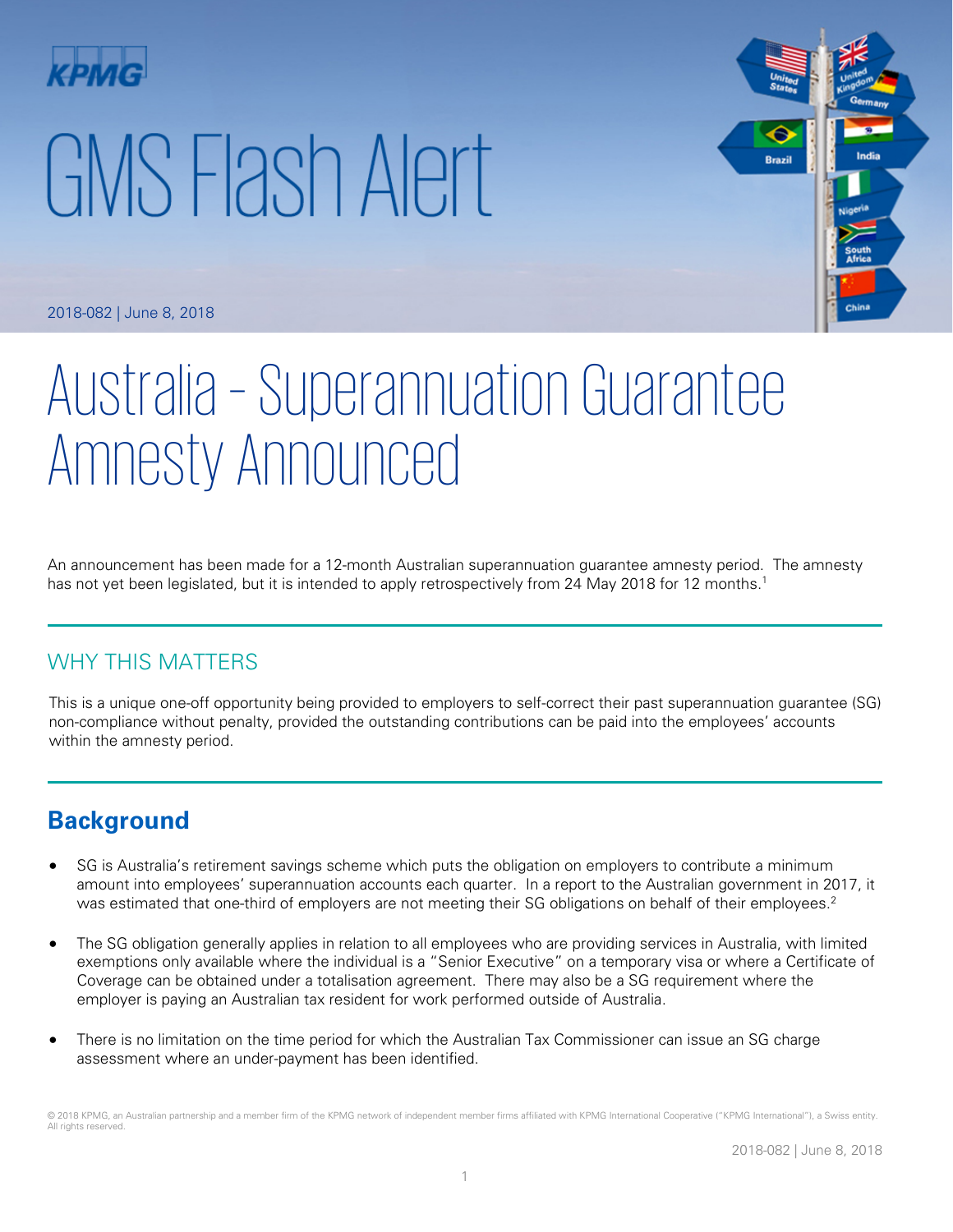# GMS Flash Alert



2018-082 | June 8, 2018

# Australia – Superannuation Guarantee Amnesty Announced

An announcement has been made for a 12-month Australian superannuation guarantee amnesty period. The amnesty has not yet been legislated, but it is intended to apply retrospectively from 24 May 2018 for 12 months.<sup>1</sup>

# WHY THIS MATTERS

This is a unique one-off opportunity being provided to employers to self-correct their past superannuation guarantee (SG) non-compliance without penalty, provided the outstanding contributions can be paid into the employees' accounts within the amnesty period.

# **Background**

- SG is Australia's retirement savings scheme which puts the obligation on employers to contribute a minimum amount into employees' superannuation accounts each quarter. In a report to the Australian government in 2017, it was estimated that one-third of employers are not meeting their SG obligations on behalf of their employees.<sup>2</sup>
- The SG obligation generally applies in relation to all employees who are providing services in Australia, with limited exemptions only available where the individual is a "Senior Executive" on a temporary visa or where a Certificate of Coverage can be obtained under a totalisation agreement. There may also be a SG requirement where the employer is paying an Australian tax resident for work performed outside of Australia.
- There is no limitation on the time period for which the Australian Tax Commissioner can issue an SG charge assessment where an under-payment has been identified.

<sup>© 2018</sup> KPMG, an Australian partnership and a member firm of the KPMG network of independent member firms affiliated with KPMG International Cooperative ("KPMG International"), a Swiss entity. All rights reserved.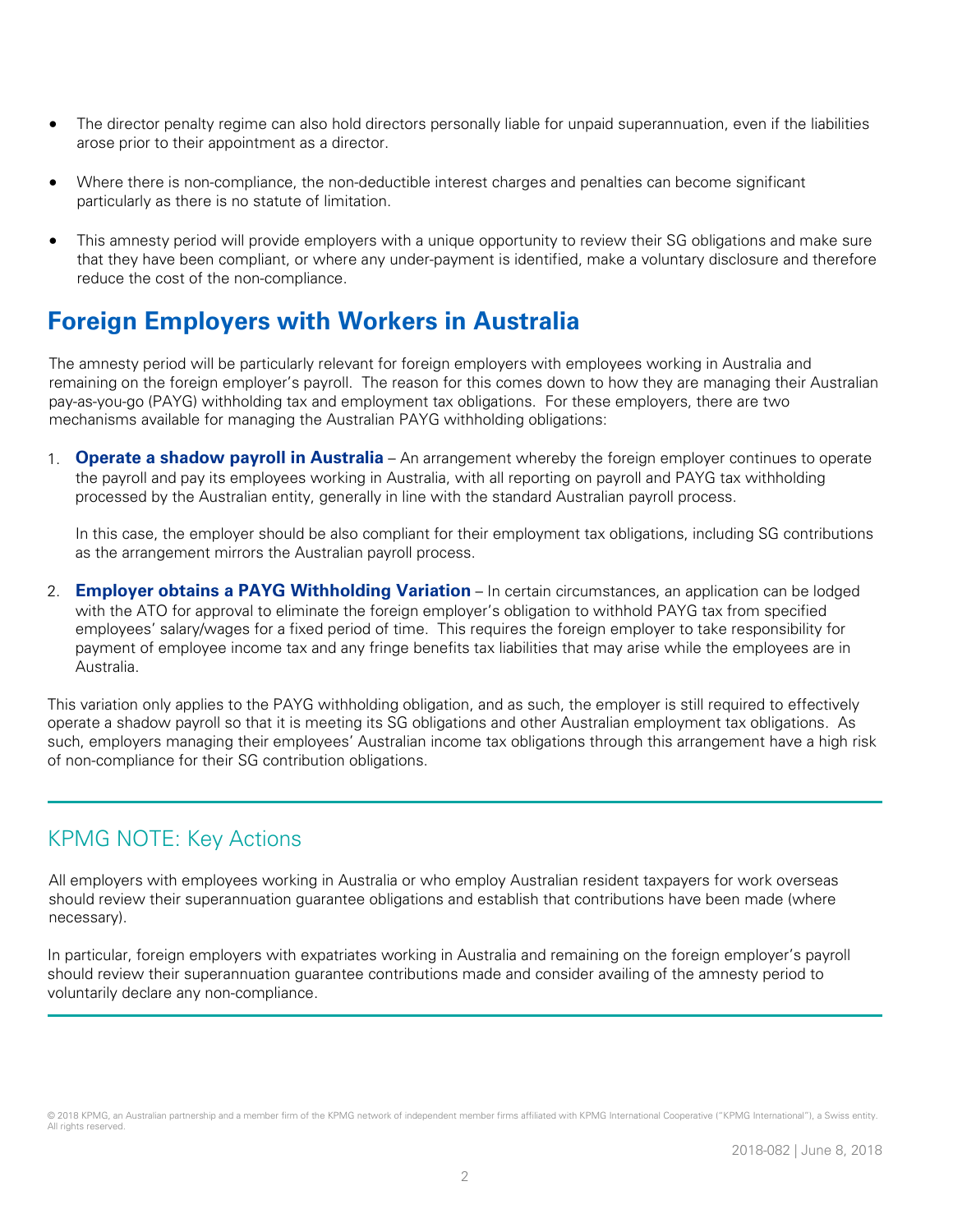- The director penalty regime can also hold directors personally liable for unpaid superannuation, even if the liabilities arose prior to their appointment as a director.
- Where there is non-compliance, the non-deductible interest charges and penalties can become significant particularly as there is no statute of limitation.
- This amnesty period will provide employers with a unique opportunity to review their SG obligations and make sure that they have been compliant, or where any under-payment is identified, make a voluntary disclosure and therefore reduce the cost of the non-compliance.

# **Foreign Employers with Workers in Australia**

The amnesty period will be particularly relevant for foreign employers with employees working in Australia and remaining on the foreign employer's payroll. The reason for this comes down to how they are managing their Australian pay-as-you-go (PAYG) withholding tax and employment tax obligations. For these employers, there are two mechanisms available for managing the Australian PAYG withholding obligations:

1. **Operate a shadow payroll in Australia** – An arrangement whereby the foreign employer continues to operate the payroll and pay its employees working in Australia, with all reporting on payroll and PAYG tax withholding processed by the Australian entity, generally in line with the standard Australian payroll process.

In this case, the employer should be also compliant for their employment tax obligations, including SG contributions as the arrangement mirrors the Australian payroll process.

2. **Employer obtains a PAYG Withholding Variation** – In certain circumstances, an application can be lodged with the ATO for approval to eliminate the foreign employer's obligation to withhold PAYG tax from specified employees' salary/wages for a fixed period of time. This requires the foreign employer to take responsibility for payment of employee income tax and any fringe benefits tax liabilities that may arise while the employees are in Australia.

This variation only applies to the PAYG withholding obligation, and as such, the employer is still required to effectively operate a shadow payroll so that it is meeting its SG obligations and other Australian employment tax obligations. As such, employers managing their employees' Australian income tax obligations through this arrangement have a high risk of non-compliance for their SG contribution obligations.

#### KPMG NOTE: Key Actions

All employers with employees working in Australia or who employ Australian resident taxpayers for work overseas should review their superannuation guarantee obligations and establish that contributions have been made (where necessary).

In particular, foreign employers with expatriates working in Australia and remaining on the foreign employer's payroll should review their superannuation guarantee contributions made and consider availing of the amnesty period to voluntarily declare any non-compliance.

<sup>© 2018</sup> KPMG, an Australian partnership and a member firm of the KPMG network of independent member firms affiliated with KPMG International Cooperative ("KPMG International"), a Swiss entity. All rights reserved.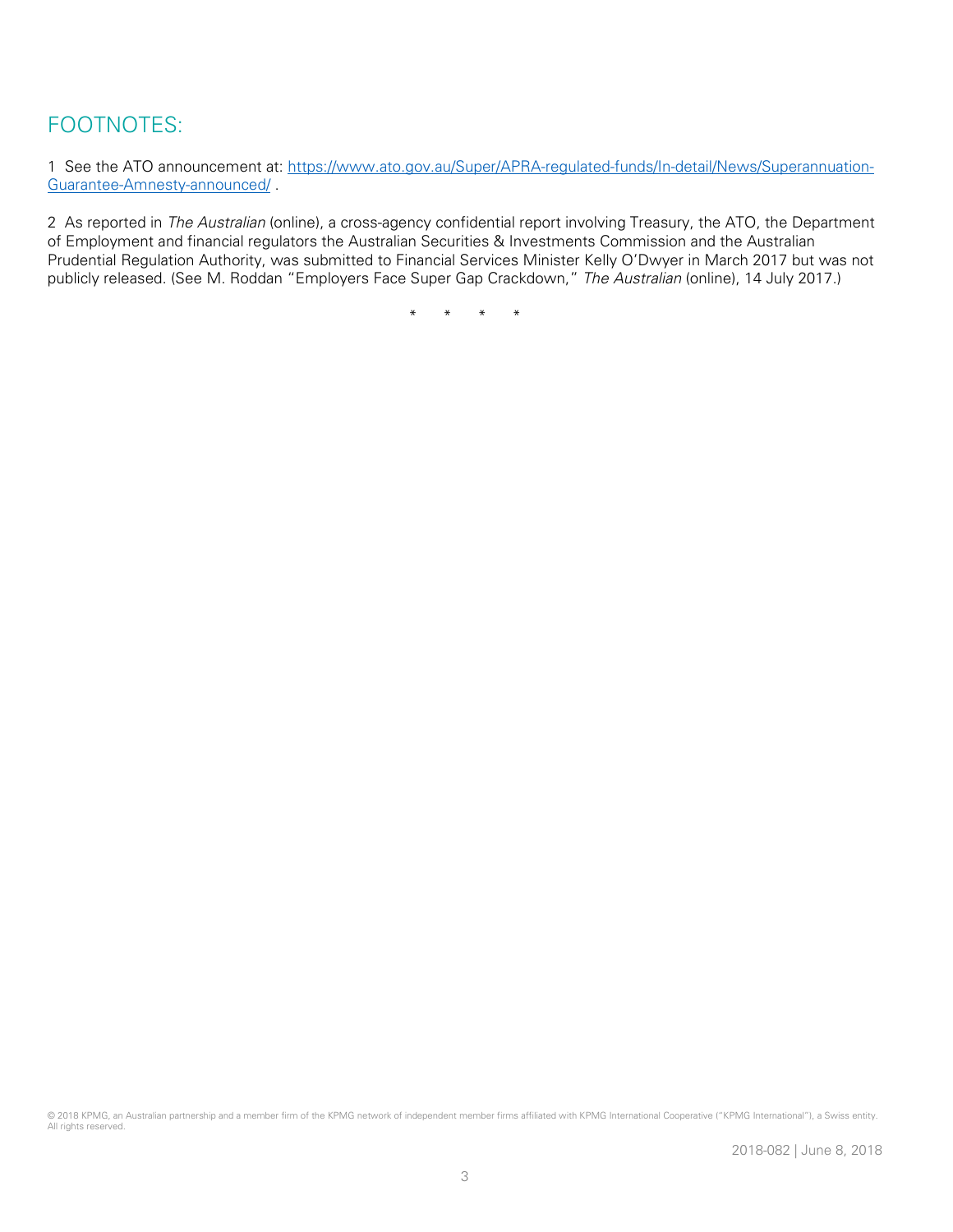### FOOTNOTES:

1 See the ATO announcement at: [https://www.ato.gov.au/Super/APRA-regulated-funds/In-detail/News/Superannuation-](https://www.ato.gov.au/Super/APRA-regulated-funds/In-detail/News/Superannuation-Guarantee-Amnesty-announced/)[Guarantee-Amnesty-announced/](https://www.ato.gov.au/Super/APRA-regulated-funds/In-detail/News/Superannuation-Guarantee-Amnesty-announced/) .

2 As reported in The Australian (online), a cross-agency confidential report involving Treasury, the ATO, the Department of Employment and financial regulators the Australian Securities & Investments Commission and the Australian Prudential Regulation Authority, was submitted to Financial Services Minister Kelly O'Dwyer in March 2017 but was not publicly released. (See M. Roddan "Employers Face Super Gap Crackdown," The Australian (online), 14 July 2017.)

\* \* \* \*

© 2018 KPMG, an Australian partnership and a member firm of the KPMG network of independent member firms affiliated with KPMG International Cooperative ("KPMG International"), a Swiss entity. All rights reserved.